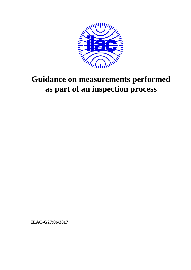

# **Guidance on measurements performed as part of an inspection process**

**ILAC-G27:06/2017**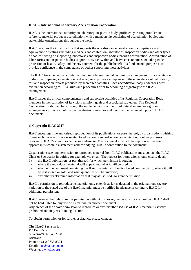#### **ILAC – International Laboratory Accreditation Cooperation**

ILAC is the international authority on laboratory, inspection body, proficiency testing provider and reference material producer accreditation, with a membership consisting of accreditation bodies and stakeholder organisations throughout the world.

ILAC provides the infrastructure that supports the world-wide demonstration of competence and equivalence of testing (including medical) and calibration laboratories, inspection bodies and other types of bodies serving or supporting laboratories and inspection bodies through accreditation. Accreditation of laboratories and inspection bodies supports activities within and between economies including trade, protection of health, safety and the environment for the public benefit. Its fundamental purpose is to provide confidence in the competence of bodies supporting these activities.

The ILAC Arrangement is an international, multilateral mutual recognition arrangement for accreditation bodies. Participating accreditation bodies agree to promote acceptance of the equivalence of calibration, test and inspection reports produced by accredited facilities. Each accreditation body undergoes peer evaluation according to ILAC rules and procedures prior to becoming a signatory to the ILAC Arrangement.

ILAC values the critical complementary and supportive activities of its Regional Cooperation Body members in the realisation of its vision, mission, goals and associated strategies. The Regional Cooperation Body members through the implementation of their multilateral mutual recognition arrangements provide all of the peer evaluation resources and much of the technical inputs to ILAC documents.

#### **© Copyright ILAC 2017**

ILAC encourages the authorised reproduction of its publications, or parts thereof, by organisations wishing to use such material for areas related to education, standardisation, accreditation, or other purposes relevant to ILAC's area of expertise or endeavour. The document in which the reproduced material appears must contain a statement acknowledging ILAC's contribution to the document.

Organisations seeking permission to reproduce material from ILAC publications must contact the ILAC Chair or Secretariat in writing for example via email. The request for permission should clearly detail:

- 1) the ILAC publication, or part thereof, for which permission is sought;<br>2) where the reproduced material will appear and what it will be used for
- where the reproduced material will appear and what it will be used for;
- 3) whether the document containing the ILAC material will be distributed commercially, where it will be distributed or sold, and what quantities will be involved;
- 4) any other background information that may assist ILAC to grant permission.

ILAC's permission to reproduce its material only extends as far as detailed in the original request. Any variation to the stated use of the ILAC material must be notified in advance in writing to ILAC for additional permission.

ILAC reserves the right to refuse permission without disclosing the reasons for such refusal. ILAC shall not be held liable for any use of its material in another document.

Any breach of the above permission to reproduce or any unauthorised use of ILAC material is strictly prohibited and may result in legal action.

To obtain permission or for further assistance, please contact:

# **The ILAC Secretariat**

PO Box 7507 Silverwater NSW 2128 Australia Phone: +61 2 9736 8374 Email: ilac@nata.com.au Website: www.ilac.org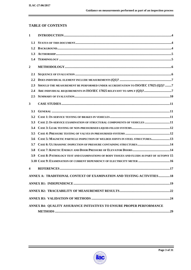# **TABLE OF CONTENTS**

| $\mathbf{1}$            |                                                                                          |
|-------------------------|------------------------------------------------------------------------------------------|
| 1.1                     |                                                                                          |
| 1.2                     |                                                                                          |
| 1.3                     |                                                                                          |
| 1.4                     |                                                                                          |
| $\overline{2}$          |                                                                                          |
| 2.1                     |                                                                                          |
| 2.2                     |                                                                                          |
| 2.3                     | SHOULD THE MEASUREMENT BE PERFORMED UNDER ACCREDITATION TO ISO/IEC 17025 (Q2)? 7         |
| 2.4                     | ARE INDIVIDUAL REQUIREMENTS IN ISO/IEC 17025 RELEVANT TO APPLY (Q3)?7                    |
| 2.5                     |                                                                                          |
| 3                       |                                                                                          |
| 3.1                     |                                                                                          |
| 3.2                     |                                                                                          |
| 3.3                     | CASE 2: IN-SERVICE EXAMINATION OF STRUCTURAL COMPONENTS OF VEHICLES 11                   |
| 3.4                     |                                                                                          |
| 3.5                     |                                                                                          |
| 3.6                     | CASE 5: MAGNETIC PARTICLE INSPECTION OF WELDED JOINTS IN STEEL STRUCTURES 13             |
| 3.7                     |                                                                                          |
| 3.8                     |                                                                                          |
| 3.9                     | CASE 8: PATHOLOGY TEST AND EXAMINATIONS OF BODY TISSUES AND FLUIDS AS PART OF AUTOPSY 15 |
|                         |                                                                                          |
| $\overline{\mathbf{4}}$ |                                                                                          |
|                         | ANNEX A: TRADITIONAL CONTEXT OF EXAMINATION AND TESTING ACTIVITIES18                     |
|                         |                                                                                          |
|                         |                                                                                          |
|                         |                                                                                          |
|                         | ANNEX B4: QUALITY ASSURANCE INITIATIVES TO ENSURE PROPER PERFORMANCE                     |
|                         |                                                                                          |

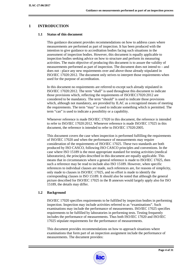# **1 INTRODUCTION**

#### **1.1 Status of this document**

This guidance document provides recommendations on how to address cases where measurements are performed as part of inspection. It has been produced with the intention to give guidance to accreditation bodies facing such situations in the assessment of inspection bodies. However, this document is equally applicable to inspection bodies seeking advice on how to structure and perform its measuring activities. The main objective of producing this document is to assure the validity of measurements performed as part of inspection. The document does not intend to – and does not - place any new requirements over and above those already stipulated in ISO/IEC 17020:2012. The document only strives to interpret those requirements when used for the purpose of accreditation.

In this document no requirements are referred to except such already stipulated in ISO/IEC 17020:2012. The term "shall" is used throughout this document to indicate those provisions which, reflecting the requirements of ISO/IEC17020:2012 are considered to be mandatory. The term "should" is used to indicate those provisions which, although not mandatory, are provided by ILAC as a recognized means of meeting the requirements. The term "may" is used to indicate something which is permitted. The term "can" is used to indicate a possibility or a capability.

Whenever reference is made ISO/IEC 17020 in this document, the reference is intended to refer to ISO/IEC 17020:2012. Whenever reference is made ISO/IEC 17025 in this document, the reference is intended to refer to ISO/IEC 17020:2005.

This document covers the case when inspection is performed fulfilling the requirements of ISO/IEC 17020 and when the performance of measurements may require consideration of the requirements of ISO/IEC 17025. These two standards are both produced by ISO CASCO, following ISO CASCO principles and conventions. In the case where ISO 15189 is the most appropriate standard for testing activities (medical laboratories), the principles described in this document are equally applicable. This means that in circumstances where a general reference is made to ISO/IEC 17025, then such a reference may be read to include also ISO 15189. However, when specific references to individual clauses are made, such references are, for reasons of simplicity, only made to clauses in ISO/IEC 17025, and no effort is made to identify the corresponding clauses in ISO 15189. It should also be noted that although the general picture described for ISO/IEC 17025 in the B annexes would largely apply also for ISO 15189, the details may differ.

#### **1.2 Background**

ISO/IEC 17020 specifies requirements to be fulfilled by inspection bodies in performing inspection. Inspection may include activities referred to as "examinations". Such examinations may include the performance of measurements. ISO/IEC 17025 specifies requirements to be fulfilled by laboratories in performing tests. Testing frequently includes the performance of measurements. Thus both ISO/IEC 17020 and ISO/IEC 17025 stipulate requirements for the performance of measurements.

This document provides recommendations on how to approach situations where examinations that form part of an inspection assignment include the performance of measurements. The document provides:

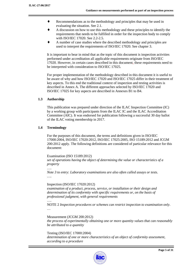- ♦ Recommendations as to the methodology and principles that may be used in evaluating the situation. See 2.1.
- A discussion on how to use this methodology and these principles to identify the requirements that needs to be fulfilled in order for the inspection body to comply with ISO/IEC 17020. See 2.2-2.5.
- ♦ A number of case studies where the described methodology and principles are used to interpret the requirements of ISO/IEC 17020. See chapter 3.

It is important to bear in mind that as the topic of this document is inspection activities performed under accreditation all applicable requirements originate from ISO/IEC 17020. However, in certain cases described in this document, these requirements need to be interpreted with consideration to ISO/IEC 17025.

For proper implementation of the methodology described in this document it is useful to be aware of why and how ISO/IEC 17020 and ISO/IEC 17025 differ in their treatment of key aspects. To this end the traditional context of inspection and testing activities is described in Annex A. The different approaches selected by ISO/IEC 17020 and ISO/IEC 17025 for key aspects are described in Annexes B1 to B4.

# **1.3 Authorship**

This publication was prepared under direction of the ILAC Inspection Committee (IC) by a working group with participants from the ILAC IC and the ILAC Accreditation Committee (AIC). It was endorsed for publication following a successful 30 day ballot of the ILAC voting membership in 2017.

# **1.4 Terminology**

For the purposes of this document, the terms and definitions given in ISO/IEC 17000:2004, ISO/IEC 17020:2012, ISO/IEC 17025:2005, ISO 15189:2012 and JCGM 200:2012 apply. The following definitions are considered of particular relevance for this document:

Examination (ISO 15189:2012) *set of operations having the object of determining the value or characteristics of a property* 

…. *Note 3 to entry: Laboratory examinations are also often called assays or tests.*  ….

# Inspection (ISO/IEC 17020:2012)

*examination of a product, process, service, or installation or their design and determination of its conformity with specific requirements or, on the basis of professional judgment, with general requirements* 

…. NOTE 2 *Inspection procedures or schemes can restrict inspection to examination only*. …

Measurement (JCGM 200:2012)

*the process of experimentally obtaining one or more quantity values that can reasonably be attributed to a quantity* 

Testing (ISO/IEC 17000:2004)

*determination of one or more characteristics of an object of conformity assessment, according to a procedure* 

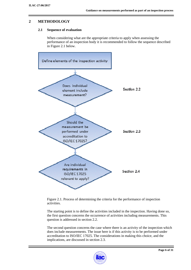# **2 METHODOLOGY**

# **2.1 Sequence of evaluation**

When considering what are the appropriate criteria to apply when assessing the performance of an inspection body it is recommended to follow the sequence described in Figure 2.1 below.



Figure 2.1. Process of determining the criteria for the performance of inspection activities.

The starting point is to define the activities included in the inspection. Having done so, the first question concerns the occurrence of activities including measurements. This question is addressed in section 2.2.

The second question concerns the case where there is an activity of the inspection which does include measurements. The issue here is if this activity is to be performed under accreditation to ISO/IEC 17025. The considerations in making this choice, and the implications, are discussed in section 2.3.

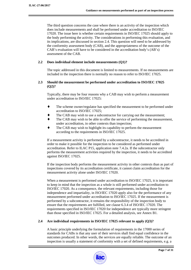The third question concerns the case where there is an activity of the inspection which does include measurements and shall be performed under accreditation to ISO/IEC 17020. The issue here is whether certain requirements in ISO/IEC 17025 should apply to the body performing the activity. The considerations in performing this evaluation, and its implications, are discussed in section 2.4. This question will need to be addressed by the conformity assessment body (CAB), and the appropriateness of the outcome of the CAB's evaluation will have to be considered in the accreditation body's (AB's) assessment of the CAB.

#### **2.2 Does individual element include measurements (Q1)?**

The topic addressed in this document is limited to measurements. If no measurements are included in the inspection there is normally no reason to refer to ISO/IEC 17025.

## **2.3 Should the measurement be performed under accreditation to ISO/IEC 17025 (Q2)?**

Typically, there may be four reasons why a CAB may wish to perform a measurement under accreditation to ISO/IEC 17025:

- The scheme owner/regulator has specified the measurement to be performed under accreditation to ISO/IEC 17025;
- The CAB may wish to use a subcontractor for carrying out the measurement;
- The CAB may wish to be able to offer the service of performing the measurement, under accreditation, in other contexts than inspection;
- The CAB may wish to highlight its capability to perform the measurement according to the requirements in ISO/IEC 17025.

If a measurement activity is performed by a subcontractor, it needs to be accredited in order to make it possible for the inspection to be considered as performed under accreditation. Refer to ILAC P15, application note 7.4.2a. If the subcontractor only performs the measurement activities required by the inspection, it needs to be accredited against ISO/IEC 17025.

If the inspection body performs the measurement activity in other contexts than as part of inspections covered by its accreditation certificate, it cannot claim accreditation for the measurement activity alone under ISO/IEC 17020.

When a measurement is performed under accreditation to ISO/IEC 17025, it is important to keep in mind that the inspection as a whole is still performed under accreditation to ISO/IEC 17020. As a consequence, the relevant requirements, including those for independence and impartiality, in ISO/IEC 17020 apply also for the performance of any measurement performed under accreditation to ISO/IEC 17025. If the measurement is performed by a subcontractor, it remains the responsibility of the inspection body to ensure that the requirements are fulfilled, see clause 6.3.4 of ISO/IEC 17020. The requirements specified in ISO/IEC 17020 for independence are typically more stringent than those specified in ISO/IEC 17025. For a detailed analysis, see Annex B1.

# **2.4 Are individual requirements in ISO/IEC 17025 relevant to apply (Q3)?**

A basic principle underlying the formulation of requirements in the 17000 series of standards for CABs is that any user of their services shall find equal confidence in the outcomes produced. In other words, the services are equally reliable. The outcome of an inspection is usually a statement of conformity with a set of defined requirements, e.g. a

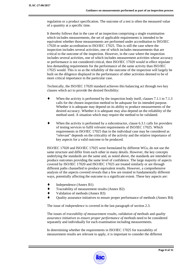regulation or a product specification. The outcome of a test is often the measured value of a quantity at a specific time.

It thereby follows that in the case of an inspection comprising a single examination which includes measurements, the set of applicable requirements is intended to be equivalent whether those measurements are performed under accreditation to ISO/IEC 17020 or under accreditation to ISO/IEC 17025. This is still the case where the inspection includes several activities, one of which includes measurements that are critical to the outcome of the inspection. However, in the case where the inspection includes several activities, one of which includes measurement activities whose accuracy or performance is not considered critical, then ISO/IEC 17020 would in effect stipulate less demanding requirements for the performance of the same activity than ISO/IEC 17025 would. This is so as the reliability of the outcome of the inspection will largely be built on the diligence displayed in the performance of other activities deemed to be of more critical importance in the particular case.

Technically, the ISO/IEC 17020 standard achieves this balancing act through two key clauses which act to provide the desired flexibility:

- When the activity is performed by the inspection body itself, clauses  $7.1.1$  to  $7.1.3$ calls for the chosen inspection method to be *adequate* for its intended purpose. Whether it is adequate may depend on its ability to produce measurements of the desired accuracy. Whether it is adequate may also depend on the reliability of the method used. A situation which may require the method to be validated.
- When the activity is performed by a subcontractor, clause  $6.3.1$  calls for providers of testing services to fulfil *relevant* requirements of ISO/IEC 17025. Which requirements in ISO/IEC 17025 that in the individual case may be considered as "relevant" depends on the criticality of the activity and the relative importance of key aspects for a valid outcome to be produced.

ISO/IEC 17020 and ISO/IEC 17025 were formulated by different WGs, do not use the same structure and differ from each other in many details. However, the key concepts underlying the standards are the same and, as noted above, the standards are intended to produce outcomes providing the same level of confidence. The large majority of aspects covered by ISO/IEC 17020 and ISO/IEC 17025 are treated similarly or are through different paths channelled to produce equivalent results. However, a comprehensive analysis of the aspects covered reveals that a few are treated in fundamentally different ways, potentially affecting the outcome to a significant extent. These key aspects are:

- Independence (Annex B1)
- Traceability of measurement results (Annex B2)
- Validation of methods (Annex B3)
- Quality assurance initiatives to ensure proper performance of methods (Annex B4)

The issue of *independence* is covered in the last paragraph of section 2.3.

The issues of *traceability of measurement results, validation of methods* and *quality assurance initiatives to ensure proper performance of methods* need to be considered separately and individually for each examination including measurements.

In determining whether the requirements in ISO/IEC 17025 for traceability of measurement results are relevant to apply, it is important to consider the different

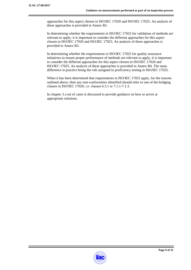approaches for this aspect chosen in ISO/IEC 17020 and ISO/IEC 17025. An analysis of these approaches is provided in Annex B2.

In determining whether the requirements in ISO/IEC 17025 for validation of methods are relevant to apply, it is important to consider the different approaches for this aspect chosen in ISO/IEC 17020 and ISO/IEC 17025. An analysis of these approaches is provided in Annex B3.

In determining whether the requirements in ISO/IEC 17025 for quality assurance initiatives to ensure proper performance of methods are relevant to apply, it is important to consider the different approaches for this aspect chosen in ISO/IEC 17020 and ISO/IEC 17025. An analysis of these approaches is provided in Annex B4. The main difference in practice being the role assigned to proficiency testing in ISO/IEC 17025.

When it has been determined that requirements in ISO/IEC 17025 apply, for the reasons outlined above, then any non-conformities identified should refer to one of the bridging clauses in ISO/IEC 17020, i.e. clauses 6.3.1 or 7.1.1-7.1.3.

In chapter 3 a set of cases is discussed to provide guidance on how to arrive at appropriate solutions.

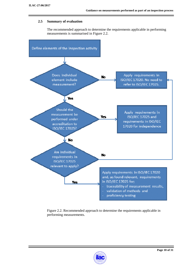# **2.5 Summary of evaluation**

The recommended approach to determine the requirements applicable in performing measurements is summarised in Figure 2.2.



Figure 2.2. Recommended approach to determine the requirements applicable in performing measurements.

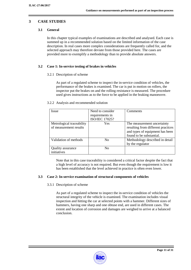# **3 CASE STUDIES**

# **3.1 General**

In this chapter typical examples of examinations are described and analysed. Each case is summed up in a recommended solution based on the limited information of the case description. In real cases more complex considerations are frequently called for, and the selected approach may therefore deviate from those provided here. The cases are provided more to exemplify a methodology than to provide absolute answers.

# **3.2 Case 1: In-service testing of brakes in vehicles**

## 3.2.1 Description of scheme

As part of a regulated scheme to inspect the in-service condition of vehicles, the performance of the brakes is examined. The car is put in motion on rollers, the inspector put the brakes on and the rolling resistance is measured. The procedure used gives instructions as to the force to be applied in the braking manoeuvre.

#### 3.2.2 Analysis and recommended solution

| <i>Issue</i>                                        | Need to consider<br>requirements in<br><b>ISO/IEC 17025?</b> | Comments                                                                                                                         |
|-----------------------------------------------------|--------------------------------------------------------------|----------------------------------------------------------------------------------------------------------------------------------|
| Metrological traceability<br>of measurement results | Yes                                                          | The measurement uncertainty<br>resulting from different practices<br>and types of equipment has been<br>found to be substantial. |
| Validation of methods                               | No                                                           | Methodology described in detail<br>by the regulator                                                                              |
| <b>Quality assurance</b><br>initiatives             | No                                                           |                                                                                                                                  |

Note that in this case traceability is considered a critical factor despite the fact that a high level of accuracy is not required. But even though the requirement is low it has been established that the level achieved in practice is often even lower.

#### **3.3 Case 2: In-service examination of structural components of vehicles**

#### 3.3.1 Description of scheme

As part of a regulated scheme to inspect the in-service condition of vehicles the structural integrity of the vehicle is examined. The examination includes visual inspection and hitting the car at selected points with a hammer. Different sizes of hammers, having one sharp and one obtuse end, are used in different cases. The extent and location of corrosion and damages are weighed to arrive at a balanced conclusion.

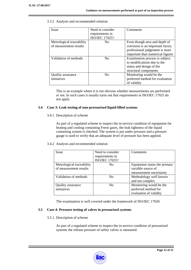3.3.2 Analysis and recommended solution

| <b>Issue</b>                                        | Need to consider<br>requirements in<br>ISO/IEC 17025? | Comments                                                                                                                                 |
|-----------------------------------------------------|-------------------------------------------------------|------------------------------------------------------------------------------------------------------------------------------------------|
| Metrological traceability<br>of measurement results | N <sub>0</sub>                                        | Even though area and depth of<br>corrosion is an important factor,<br>professional judgement is more<br>important than numerical figures |
| Validation of methods                               | N <sub>0</sub>                                        | Examination process is subject<br>to modifications due to the<br>status and design of the<br>structural components                       |
| Quality assurance<br>initiatives                    | N <sub>0</sub>                                        | Monitoring would be the<br>preferred method for evaluation<br>of validity                                                                |

This is an example where it is not obvious whether measurements are performed or not. In such cases it usually turns out that requirements in ISO/IEC 17025 do not apply.

#### **3.4 Case 3: Leak testing of non-pressurised liquid-filled systems**

#### 3.4.1 Description of scheme

As part of a regulated scheme to inspect the in-service condition of equipment for heating and cooling containing Freon gases, the leak tightness of the liquid containing system is checked. The system is put under pressure and a pressure gauge is used to verify that an adequate level of pressure has been applied.

#### 3.4.2 Analysis and recommended solution

| <b>Issue</b>                                        | Need to consider<br>requirements in<br>ISO/IEC 17025? | Comments                                                                      |
|-----------------------------------------------------|-------------------------------------------------------|-------------------------------------------------------------------------------|
| Metrological traceability<br>of measurement results | N <sub>0</sub>                                        | Equipment status the primary<br>variable source of<br>measurement uncertainty |
| Validation of methods                               | No                                                    | Methodology well known<br>and not complex                                     |
| <b>Quality assurance</b><br>initiatives             | N <sub>0</sub>                                        | Monitoring would be the<br>preferred method for<br>evaluation of validity     |

The examination is well covered under the framework of ISO/IEC 17020.

# **3.5 Case 4: Pressure testing of valves in pressurised systems**

# 3.5.1. Description of scheme

As part of a regulated scheme to inspect the in-service condition of pressurised systems the release pressure of safety valves is measured.

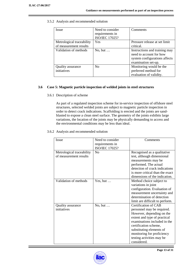3.5.2 Analysis and recommended solution

| <i>Issue</i>                                        | Need to consider<br>requirements in<br>ISO/IEC 17025? | Comments                                                                                                         |
|-----------------------------------------------------|-------------------------------------------------------|------------------------------------------------------------------------------------------------------------------|
| Metrological traceability<br>of measurement results | Yes                                                   | Pressure release at set limit<br>critical.                                                                       |
| Validation of methods                               | No, but $\dots$                                       | Instructions and training may<br>need to account for how<br>system configurations affects<br>examination set-up. |
| Quality assurance<br>initiatives                    | N <sub>0</sub>                                        | Monitoring would be the<br>preferred method for<br>evaluation of validity.                                       |

## **3.6 Case 5: Magnetic particle inspection of welded joints in steel structures**

3.6.1 Description of scheme

As part of a regulated inspection scheme for in-service inspection of offshore steel structures, selected welded joints are subject to magnetic particle inspection in order to detect crack indications. Scaffolding is erected and the joints are sandblasted to expose a clean steel surface. The geometry of the joints exhibits large variations, the location of the joints may be physically demanding to access and the environmental conditions may be less than ideal.

3.6.2 Analysis and recommended solution

| Issue                                               | Need to consider                  | Comments                                                                                                                                                                                                                                                                       |
|-----------------------------------------------------|-----------------------------------|--------------------------------------------------------------------------------------------------------------------------------------------------------------------------------------------------------------------------------------------------------------------------------|
|                                                     | requirements in<br>ISO/IEC 17025? |                                                                                                                                                                                                                                                                                |
| Metrological traceability<br>of measurement results | No                                | Recognised as a qualitative<br>test, although dimensional<br>measurements may be<br>performed. The actual<br>detection of crack indications<br>is more critical than the exact                                                                                                 |
|                                                     |                                   | dimensions of the indication.                                                                                                                                                                                                                                                  |
| Validation of methods                               | Yes, but $\dots$                  | Method choice subject to<br>variations in joint<br>configuration. Evaluation of<br>measurement uncertainty and<br>determination of detection<br>limit are difficult to perform.                                                                                                |
| Quality assurance<br>initiatives                    | No, but                           | Certification of CAB<br>personnel may be required.<br>However, depending on the<br>extent and type of practical<br>examinations included in the<br>certification scheme,<br>substituting elements of<br>monitoring for proficiency<br>testing activities may be<br>considered. |

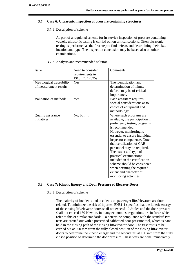#### **3.7 Case 6: Ultrasonic inspection of pressure containing structures**

#### 3.7.1 Description of scheme

As part of a regulated scheme for in-service inspection of pressure containing vessels, ultrasonic testing is carried out on critical sections. Often ultrasonic testing is performed as the first step to find defects and determining their size, location and type. The inspection conclusion may be based also on other examinations.

#### 3.7.2 Analysis and recommended solution

| Issue                     | Need to consider | Comments                        |
|---------------------------|------------------|---------------------------------|
|                           | requirements in  |                                 |
|                           | ISO/IEC 17025?   |                                 |
| Metrological traceability | Yes              | The identification and          |
| of measurement results    |                  | determination of minute         |
|                           |                  | defects may be of critical      |
|                           |                  | importance.                     |
| Validation of methods     | Yes              | Each area/item requires         |
|                           |                  | special considerations as to    |
|                           |                  | choice of equipment and         |
|                           |                  | methodology.                    |
| Quality assurance         | No, but $\dots$  | Where such programs are         |
| initiatives               |                  | available, the participation in |
|                           |                  | proficiency testing programs    |
|                           |                  | is recommended.                 |
|                           |                  | However, monitoring is          |
|                           |                  | essential to ensure individual  |
|                           |                  | inspector competence. Note      |
|                           |                  | that certification of CAB       |
|                           |                  | personnel may be required.      |
|                           |                  | The extent and type of          |
|                           |                  | practical examinations          |
|                           |                  | included in the certification   |
|                           |                  | scheme should be considered     |
|                           |                  | when defining the required      |
|                           |                  | extent and character of         |
|                           |                  | monitoring activities.          |

# **3.8 Case 7: Kinetic Energy and Door Pressure of Elevator Doors**

#### 3.8.1 Description of scheme

The majority of incidents and accidents on passenger lifts/elevators are door related. To minimize the risk of injuries, EN81-1 specifies that the kinetic energy of the closing lift/elevator doors shall not exceed 10 Joules and the door pressure shall not exceed 150 Newton. In many economies, regulations are in force which refer to this or similar standards. To determine compliance with the standard two tests are carried out with a prescribed calibrated door pressure tool, which is hand held in the closing path of the closing lift/elevator door. The first test is to be carried out at 500 mm from the fully closed position of the closing lift/elevator doors to determine the kinetic energy and the second test at 180 mm from the fully closed position to determine the door pressure. These tests are done immediately

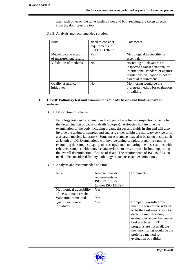after each other on the same landing floor and both readings are taken directly from the door pressure tool.

3.8.2 Analysis and recommended solution

| <b>Issue</b>                                        | Need to consider<br>requirements in<br>ISO/IEC 17025? | Comments                                                                                                                                                          |
|-----------------------------------------------------|-------------------------------------------------------|-------------------------------------------------------------------------------------------------------------------------------------------------------------------|
| Metrological traceability<br>of measurement results | Yes                                                   | Metrological traceability is<br>essential.                                                                                                                        |
| Validation of methods                               | No                                                    | Assuming all elevators are<br>inspected against a national or<br>international standard or against<br>regulations, validation is not an<br>essential requirement. |
| Quality assurance<br>initiatives                    | N <sub>0</sub>                                        | Monitoring would be the<br>preferred method for evaluation<br>of validity.                                                                                        |

# **3.9 Case 8: Pathology test and examinations of body tissues and fluids as part of autopsy**

3.9.1 Description of scheme

Pathology tests and examinations form part of a voluntary inspection scheme for the determination of cause of death (autopsy). Autopsies will involve the examination of the body including organs, tissues and fluids in situ and will also involve the taking of samples and analysis either within the mortuary service or in a separate medical laboratory. Some measurements may also be taken in situ such as length or pH. Examinations will involve taking samples, preparing samples, examining the samples (e.g. by microscopy) and comparing the observations with reference samples with known characteristics to arrive at conclusions supporting the overall determination of cause of death. The requirements of ISO 15189 also need to be considered for any pathology related tests and examinations.

3.9.2 Analysis and recommended solution

| Issue                                   | Need to consider     | Comments                                                                                                                                                                                                                                                                                 |
|-----------------------------------------|----------------------|------------------------------------------------------------------------------------------------------------------------------------------------------------------------------------------------------------------------------------------------------------------------------------------|
|                                         | requirements in      |                                                                                                                                                                                                                                                                                          |
|                                         | <b>ISO/IEC 17025</b> |                                                                                                                                                                                                                                                                                          |
|                                         | (and/or ISO 15189)?  |                                                                                                                                                                                                                                                                                          |
| Metrological traceability               | Yes                  |                                                                                                                                                                                                                                                                                          |
| of measurement results                  |                      |                                                                                                                                                                                                                                                                                          |
| Validation of methods                   | Yes                  |                                                                                                                                                                                                                                                                                          |
| <b>Quality assurance</b><br>initiatives | Yes                  | Comparing results from<br>multiple sources considered<br>to be the best means both to<br>detect non-conforming<br>evaluations and to harmonise<br>best practices. If PT<br>programs are not available<br>then monitoring would be the<br>preferred method for<br>evaluation of validity. |

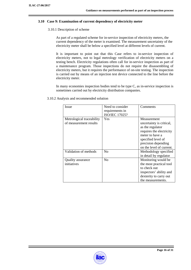#### **3.10 Case 9: Examination of current dependency of electricity meter**

#### 3.10.1 Description of scheme

As part of a regulated scheme for in-service inspection of electricity meters, the current dependency of the meter is examined. The measurement uncertainty of the electricity meter shall be below a specified level at different levels of current.

It is important to point out that this Case refers to in-service inspection of electricity meters, not to legal metrology verification of electricity meters on a testing bench. Electricity regulations often call for in-service inspection as part of a maintenance program. Those inspections do not require the disassembling of electricity meters, but it requires the performance of on-site testing. The inspection is carried out by means of an injection test device connected to the line before the electricity meter.

In many economies inspection bodies tend to be type C, as in-service inspection is sometimes carried out by electricity distribution companies.

3.10.2 Analysis and recommended solution

| <b>Issue</b>                                        | Need to consider<br>requirements in<br>ISO/IEC 17025? | Comments                                                                                                                                                                            |
|-----------------------------------------------------|-------------------------------------------------------|-------------------------------------------------------------------------------------------------------------------------------------------------------------------------------------|
| Metrological traceability<br>of measurement results | Yes                                                   | Measurement<br>uncertainty is critical,<br>as the regulator<br>requires the electricity<br>meter to have a<br>specified level of<br>precision depending<br>on the level of current. |
| Validation of methods                               | N <sub>0</sub>                                        | Methodology specified<br>in detail by regulator                                                                                                                                     |
| Quality assurance<br>initiatives                    | N <sub>0</sub>                                        | Monitoring would be<br>the most practical tool<br>to check out<br>inspectors' ability and<br>dexterity to carry out<br>the measurements.                                            |

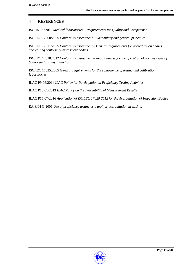# **4 REFERENCES**

ISO 15189:2012 *Medical laboratories – Requirements for Quality and Competence* 

ISO/IEC 17000:2005 *Conformity assessment – Vocabulary and general principles*

ISO/IEC 17011:2005 *Conformity assessment – General requirements for accreditation bodies accrediting conformity assessment bodies*

ISO/IEC 17020:2012 *Conformity assessment – Requirements for the operation of various types of bodies performing inspection*

ISO/IEC 17025:2005 *General requirements for the competence of testing and calibration laboratories*

ILAC P9:06/2014 *ILAC Policy for Participation in Proficiency Testing Activities*

ILAC P10:01/2013 *ILAC Policy on the Traceability of Measurement Results*

ILAC P15:07/2016 *Application of ISO/IEC 17020:2012 for the Accreditation of Inspection Bodies* 

EA-3/04 G:2001 *Use of proficiency testing as a tool for accreditation in testing.* 

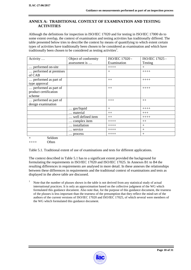# **ANNEX A: TRADITIONAL CONTEXT OF EXAMINATION AND TESTING ACTIVITIES**

Although the definitions for inspection in ISO/IEC 17020 and for testing in ISO/IEC 17000 do to some extent overlap, the context of examination and testing activities has traditionally differed. The table presented below tries to describe the context by means of quantifying to which extent certain types of activities have traditionally been chosen to be considered as examination and which have traditionally been chosen to be considered as testing activities<sup>1</sup>.

| Activity              | Object of conformity | ISO/IEC 17020 - | ISO/IEC 17025 - |
|-----------------------|----------------------|-----------------|-----------------|
|                       | assessment is        | Examination     | Testing         |
| performed on-site     |                      | $+++++$         | $+$             |
| performed at premises |                      | $+$             | $+++++$         |
| of CAB                |                      |                 |                 |
| performed as part of  |                      | $++$            | $+++++$         |
| type approval         |                      |                 |                 |
| performed as part of  |                      | $++$            | $+++++$         |
| product certification |                      |                 |                 |
| scheme                |                      |                 |                 |
| performed as part of  |                      | $+++$           | $++$            |
| design examination    |                      |                 |                 |
|                       | gas/liquid           | $^{+}$          | $+++++$         |
|                       | material             | $++$            | $+++$           |
|                       | well defined item    | $++$            | $+++++$         |
|                       | complex item         | $+++++$         | $++$            |
|                       | installation         | $++++$          | $+$             |
|                       | service              | $+++++$         | $+$             |
|                       | process              | $++++$          | $+$             |

Seldom

 $++++$  Often

Table 5.1. Traditional extent of use of examinations and tests for different applications.

The context described in Table 5.1 has to a significant extent provided the background for formulating the requirements in ISO/IEC 17020 and ISO/IEC 17025. In Annexes B1 to B4 the resulting differences in requirements are analysed in more detail. In these annexes the relationships between these differences in requirements and the traditional context of examinations and tests as displayed in the above table are discussed.

1 Note that the number of plusses shown in the table is not derived from any statistical study of actual international practices. It is only an approximation based on the collective judgment of the WG which formulated this guidance document. Also note that, for the purpose of this guidance document, the trueness of the plusses is less important than the trueness of the presumption that they reflect the mind-set of the authors of the current versions of ISO/IEC 17020 and ISO/IEC 17025, of which several were members of the WG which formulated this guidance document.

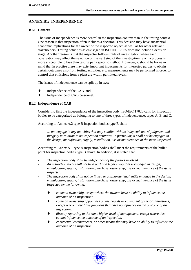# **ANNEX B1: INDEPENDENCE**

## **B1.1 Context**

The issue of independence is more central in the inspection context than in the testing context. One reason is that inspection often includes a decision. This decision may have substantial economic implications for the owner of the inspected object, as well as for other relevant stakeholders. Testing activities as envisaged in ISO/IEC 17025 does not include a decision stage. Another reason is that the inspector follows trails of investigation where each observation may affect the selection of the next step of the investigation. Such a process is more susceptible to bias than testing per a specific method. However, it should be borne in mind that in practise there may exist important inducements for interested parties to obtain certain outcomes also from testing activities, e.g. measurements may be performed in order to control that emissions from a plant are within permitted levels.

The issues-of-independence can be split up in two:

- Independence of the CAB, and
- Independence of CAB personnel.

## **B1.2 Independence of CAB**

Considering first the independence of the inspection body, ISO/IEC 17020 calls for inspection bodies to be categorized as belonging to one of three types of independence; types A, B and C.

According to Annex A.2 type B inspection bodies type B shall;

- *… not engage in any activities that may conflict with its independence of judgment and integrity in relation to its inspection activities. In particular, it shall not be engaged in the design, manufacture, supply, installation, use or maintenance of the items inspected.* 

According to Annex A.1 type A inspection bodies shall meet the requirements of the bullet point for inspection bodies type B above. In addition, it is stated that;

- The inspection body shall be independent of the parties involved.
- *An inspection body shall not be a part of a legal entity that is engaged in design, manufacture, supply, installation, purchase, ownership, use or maintenance of the items inspected.*
- *The inspection body shall not be linked to a separate legal entity engaged in the design, manufacture, supply, installation, purchase, ownership, use or maintenance of the items inspected by the following:* 
	- common ownership, except where the owners have no ability to influence the *outcome of an inspection;*
	- common ownership appointees on the boards or equivalent of the organizations, *except where these have functions that have no influence on the outcome of an inspection;*
	- directly reporting to the same higher level of management, except where this *cannot influence the outcome of an inspection;*
	- contractual commitments, or other means that may have an ability to influence the *outcome of an inspection.*

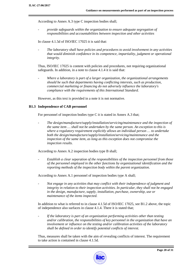According to Annex A.3 type C inspection bodies shall;

- *provide safeguards within the organization to ensure adequate segregation of responsibilities and accountabilities between inspection and other activities* 

In clause 4.1.5d of ISO/IEC 17025 it is said that:

- *The laboratory shall have policies and procedures to avoid involvement in any activities that would diminish confidence in its competence, impartiality, judgment or operational integrity.* 

Thus, ISO/IEC 17025 is content with policies and procedures, not requiring organizational safeguards. In addition, in a note to clause 4.1.4 it is said that:

- *Where a laboratory is part of a larger organization, the organizational arrangements should be such that departments having conflicting interests, such as production, commercial marketing or financing do not adversely influence the laboratory's compliance with the requirements of this International Standard.* 

However, as this text is provided in a note it is not normative.

#### **B1.3 Independence of CAB personnel**

For personnel of inspection bodies type C it is stated in Annex A.3 that;

- *The design/manufacture/supply/installation/servicing/maintenance and the inspection of the same item … shall not be undertaken by the same person. An exception to this is where a regulatory requirement explicitly allows an individual person … to undertake both the design/manufacture/supply/installation/servicing/maintenance and the inspection of the same item, as long as this exception does not compromise the inspection results.* 

According to Annex A.2 inspection bodies type B shall;

- *Establish a clear separation of the responsibilities of the inspection personnel from those of the personnel employed in the other functions by organizational identification and the reporting methods of the inspection body within the parent organization.* 

According to Annex A.1 personnel of inspection bodies type A shall;

- *Not engage in any activities that may conflict with their independence of judgment and integrity in relation to their inspection activities. In particular, they shall not be engaged in the design, manufacture, supply, installation, purchase, ownership, use or maintenance of the items inspected.* 

In addition to what is referred to in clause 4.1.5d of ISO/IEC 17025, see B1.2 above, the topic of independence also surfaces in clause 4.1.4. There it is stated that;

- *If the laboratory is part of an organization performing activities other than testing and/or calibration, the responsibilities of key personnel in the organization that have an involvement or influence on the testing and/or calibration activities of the laboratory shall be defined in order to identify potential conflicts of interest.* 

Thus, measures shall be taken with the aim of revealing conflicts of interest. The requirement to take action is contained in clause 4.1.5d.

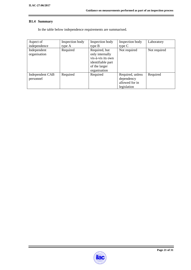# **B1.4 Summary**

In the table below independence requirements are summarised.

| Aspect of<br>independence    | Inspection body<br>type A | Inspection body<br>type B                                                                                   | Inspection body<br>type $C$                                     | Laboratory   |
|------------------------------|---------------------------|-------------------------------------------------------------------------------------------------------------|-----------------------------------------------------------------|--------------|
| Independent<br>organisation  | Required                  | Required, but<br>only internally<br>vis-à-vis its own<br>identifiable part<br>of the larger<br>organisation | Not required                                                    | Not required |
| Independent CAB<br>personnel | Required                  | Required                                                                                                    | Required, unless<br>dependency<br>allowed for in<br>legislation | Required     |

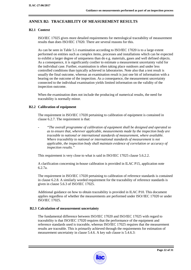# **ANNEX B2: TRACEABILITY OF MEASUREMENT RESULTS**

# **B2.1 Context**

ISO/IEC 17025 gives more detailed requirements for metrological traceability of measurement results than does ISO/IEC 17020. There are several reasons for this.

As can be seen in Table 5.1 examination according to ISO/IEC 17020 is to a large extent performed on entities such as complex items, processes and installations which can be expected to exhibit a larger degree of uniqueness than do e.g. materials, gases and well defined objects. As a consequence, it is significantly costlier to estimate a measurement uncertainty valid for the individual case. Further, examination is often taking place outdoors and under less controlled conditions than typically achieved in laboratories. Note also that a test result is usually the final outcome, whereas an examination result is just one bit of information with a bearing on the outcome of the inspection. As a consequence, the measurement uncertainty connected to the individual examination yields limited information on the validity of the inspection outcome.

When the examination does not include the producing of numerical results, the need for traceability is normally minor.

## **B2.2 Calibration of equipment**

The requirement in ISO/IEC 17020 pertaining to calibration of equipment is contained in clause 6.2.7. The requirement is that:

- *"The overall programme of calibration of equipment " shall be designed and operated so as to ensure that, wherever applicable, measurements made by the inspection body are traceable to national or international standards of measurement, where available. Where traceability to national or international standards of measurement is not applicable, the inspection body shall maintain evidence of correlation or accuracy of inspection results."*

This requirement is very close to what is said in ISO/IEC 17025 clause 5.6.2.2.

A clarification concerning in-house calibration is provided in ILAC P15, application note 6.2.7a.

The requirement in ISO/IEC 17020 pertaining to calibration of reference standards is contained in clause 6.2.8. A similarly worded requirement for the traceability of reference standards is given in clause 5.6.3 of ISO/IEC 17025.

Additional guidance on how to obtain traceability is provided in ILAC P10. This document applies regardless of whether the measurements are performed under ISO//IEC 17020 or under ISO/IEC 17025.

# **B2.3 Calculation of measurement uncertainty**

The fundamental difference between ISO/IEC 17020 and ISO/IEC 17025 with regard to traceability is that ISO/IEC 17020 requires that the performance of the equipment and reference standards used is traceable, whereas ISO/IEC 17025 requires that the measurement results are traceable. This is primarily achieved through the requirements for estimation of measurement uncertainty in clause 5.4.6. A key sub clause is 5.4.6.3:

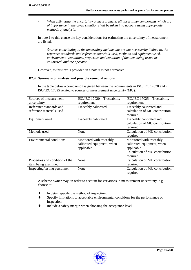- *When estimating the uncertainty of measurement, all uncertainty components which are of importance in the given situation shall be taken into account using appropriate methods of analysis.* 

In note 1 to this clause the key considerations for estimating the uncertainty of measurement are listed:

- *Sources contributing to the uncertainty include, but are not necessarily limited to, the reference standards and reference materials used, methods and equipment used, environmental conditions, properties and condition of the item being tested or calibrated, and the operator.*

However, as this text is provided in a note it is not normative.

## **B2.4 Summary of analysis and possible remedial actions**

In the table below a comparison is given between the requirements in ISO/IEC 17020 and in ISO/IEC 17025 related to sources of measurement uncertainty (MU).

| Sources of measurement          | ISO/IEC 17020 - Traceability | ISO/IEC 17025 - Traceability   |
|---------------------------------|------------------------------|--------------------------------|
| uncertainty                     | requirement                  | requirement                    |
| Reference standards and         | Traceably calibrated         | Traceably calibrated and       |
| reference materials used        |                              | calculation of MU contribution |
|                                 |                              | required                       |
| Equipment used                  | Traceably calibrated         | Traceably calibrated and       |
|                                 |                              | calculation of MU contribution |
|                                 |                              | required                       |
| Methods used                    | None                         | Calculation of MU contribution |
|                                 |                              | required                       |
| Environmental conditions        | Monitored with traceably     | Monitored with traceably       |
|                                 | calibrated equipment, when   | calibrated equipment, when     |
|                                 | applicable                   | applicable                     |
|                                 |                              | Calculation of MU contribution |
|                                 |                              | required                       |
| Properties and condition of the | None                         | Calculation of MU contribution |
| item being examined             |                              | required                       |
| Inspecting/testing personnel    | None                         | Calculation of MU contribution |
|                                 |                              | required                       |

A scheme owner may, in order to account for variations in measurement uncertainty, e.g. choose to:

- $\bullet$  In detail specify the method of inspection;
- ♦ Specify limitations to acceptable environmental conditions for the performance of inspection;
- Include a safety margin when choosing the acceptance level.

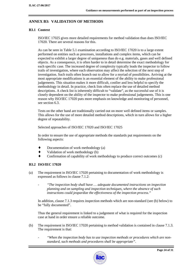# **ANNEX B3: VALIDATION OF METHODS**

# **B3.1 Context**

ISO/IEC 17025 gives more detailed requirements for method validation than does ISO/IEC 17020. There are several reasons for this.

As can be seen in Table 5.1 examination according to ISO/IEC 17020 is to a large extent performed on entities such as processes, installations and complex items, which can be expected to exhibit a larger degree of uniqueness than do e.g. materials, gases and well defined objects. As a consequence, it is often harder to in detail determine the exact methodology for each specific case. The increased degree of complexity typically leads the inspector to follow trails of investigation, where each observation may affect the selection of the next step of investigation. Such trails often branch out to allow for a myriad of possibilities. Arriving at the most appropriate modifications is an essential element of the ability to make professional judgements. This situation makes it more difficult, costlier and less helpful to specify the methodology in detail. In practice, check lists often replace the use of detailed method descriptions. A check list is inherently difficult to "validate", as the successful use of it is closely dependent on the ability of the inspector to make professional judgements. This is one reason why ISO/IEC 17020 puts more emphasis on knowledge and monitoring of personnel, see section 6.3.

Tests on the other hand are traditionally carried out on more well defined items or samples. This allows for the use of more detailed method descriptions, which in turn allows for a higher degree of repeatability.

Selected approaches of ISO/IEC 17020 and ISO/IEC 17025

In order to ensure the use of appropriate methods the standards put requirements on the following aspects:

- ♦ Documentation of work methodology (a)
- ♦ Validation of work methodology (b)
- ♦ Confirmation of capability of work methodology to produce correct outcomes (c)

# **B3.2 ISO/IEC 17020**

- (a) The requirement in ISO/IEC 17020 pertaining to documentation of work methodology is expressed as follows in clause 7.1.2:
	- *"The inspection body shall have … adequate documented instructions on inspection planning and on sampling and inspection techniques, where the absence of such instructions could jeopardize the effectiveness of the inspection process."*

In addition, clause 7.1.3 requires inspection methods which are non-standard (see (b) below) to be "fully documented".

Thus the general requirement is linked to a judgement of what is required for the inspection case at hand in order ensure a reliable outcome.

- (b) The requirement in ISO/IEC 17020 pertaining to method validation is contained in clause 7.1.3. The requirement is that:
	- *"When the inspection body has to use inspection methods or procedures which are nonstandard, such methods and procedures shall be appropriate"*.

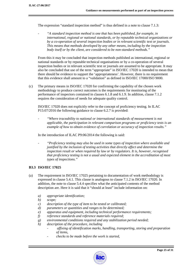The expression "standard inspection method" is thus defined in a note to clause 7.1.3:

- *"A standard inspection method is one that has been published, for example, in international, regional or national standards, or by reputable technical organizations or by a co-operation of several inspection bodies or in relevant scientific text or journals. This means that methods developed by any other means, including by the inspection body itself or by the client, are considered to be non-standard methods."* 

From this it may be concluded that inspection methods published as international, regional or national standards or by reputable technical organisations or by a co-operation of several inspection bodies or in relevant scientific text or journals are assumed to be appropriate. It may also be concluded that use of the term "appropriate" in ISO/IEC 17020 is intended to mean that there should be evidence to support the 'appropriateness'. However, there is no requirement that this evidence shall amount to a "validation" as defined in ISO/IEC 17000/ISO 9000.

(c) The primary means in ISO/IEC 17020 for confirming the capability of the chosen work methodology to produce correct outcomes is the requirements for monitoring of the performance of inspectors contained in clauses 6.1.8 and 6.1.9. In addition, clause 7.1.2 requires the consideration of needs for adequate quality control.

ISO/IEC 17020 does not explicitly refer to the concept of proficiency testing. In ILAC P15:07/2016 the following guidance to clause 6.2.7 is provided:

- *"Where traceability to national or international standards of measurement is not applicable, the participation in relevant comparison programs or proficiency tests is an example of how to obtain evidence of correlation or accuracy of inspection results."* 

In the introduction of ILAC P9:06/2014 the following is said:

- *"Proficiency testing may also be used in some types of inspection where available and justified by the inclusion of testing activities that directly affect and determine the inspection result or when required by law or by regulators. It is, however, recognised that proficiency testing is not a usual and expected element in the accreditation of most types of inspections."* 

#### **B3.3 ISO/IEC 17025**

- (a) The requirement in ISO/IEC 17025 pertaining to documentation of work methodology is expressed in clause 5.4.1. This clause is analogous to clause 7.1.2 in ISO/IEC 17020. In addition, the note to clause 5.4.4 specifies what the anticipated contents of the method description are. Here it is said that it "should at least" include information on:
	- *a) appropriate identification;*
	- *b) scope;*
	- *c) description of the type of item to be tested or calibrated;*
	- *d) parameters or quantities and ranges to be determined;*
	- *e) apparatus and equipment, including technical performance requirements;*
	- *f) reference standards and reference materials required;*
	- *g) environmental conditions required and any stabilization period needed;*
	- *h) description of the procedure, including* 
		- *affixing of identification marks, handling, transporting, storing and preparation of items,*
		- *checks to be made before the work is started,*

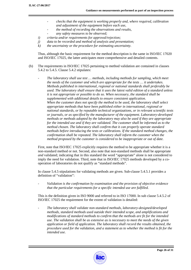- *checks that the equipment is working properly and, where required, calibration and adjustment of the equipment before each use,*
- *the method of recording the observations and results,*
- *any safety measures to be observed;*
- *i) criteria and/or requirements for approval/rejection;*
- *j) data to be recorded and method of analysis and presentation;*
- *k) the uncertainty or the procedure for estimating uncertainty.*

Thus, although the basic requirement for the method description is the same in ISO/IEC 17020 and ISO/IEC 17025, the latter anticipates more comprehensive and detailed contents.

- (b) The requirements in ISO/IEC 17025 pertaining to method validation are contained in clauses 5.4.2 to 5.4.5. Clause 5.4.2 stipulates:
	- *The laboratory shall use test … methods, including methods for sampling, which meet the needs of the customer and which are appropriate for the tests … it undertakes. Methods published in international, regional or national standards shall preferably be used. The laboratory shall ensure that it uses the latest valid edition of a standard unless it is not appropriate or possible to do so. When necessary, the standard shall be supplemented with additional details to ensure consistent application. When the customer does not specify the method to be used, the laboratory shall select appropriate methods that have been published either in international, regional or national standards, or by reputable technical organizations, or in relevant scientific texts or journals, or as specified by the manufacturer of the equipment. Laboratory-developed methods or methods adopted by the laboratory may also be used if they are appropriate for the intended use and if they are validated. The customer shall be informed as to the method chosen. The laboratory shall confirm that it can properly operate standard methods before introducing the tests or calibrations. If the standard method changes, the confirmation shall be repeated. The laboratory shall inform the customer when the method proposed by the customer is considered to be inappropriate or out of date.*

First, note that ISO/IEC 17025 explicitly requires the method to be appropriate whether it is a non-standard method or not. Second, also note that non-standard methods shall be appropriate *and* validated; indicating that in this standard the word "appropriate" alone is not considered to imply the need for validation. Third, note that in ISO/IEC 17025 methods developed by a cooperation of laboratories do not qualify as "standard methods".

In clause 5.4.5 stipulations for validating methods are given. Sub-clause 5.4.5.1 provides a definition of "validation":

- *Validation is the confirmation by examination and the provision of objective evidence that the particular requirements for a specific intended use are fulfilled.* 

This is the definition given in ISO 9000 and referred to in ISO 17000. In sub clause 5.4.5.2 of ISO/IEC 17025 the requirement for the extent of validation is detailed:

- *The laboratory shall validate non-standard methods, laboratory-designed/developed methods, standard methods used outside their intended scope, and amplifications and modifications of standard methods to confirm that the methods are fit for the intended use. The validation shall be as extensive as is necessary to meet the needs of the given application or field of application. The laboratory shall record the results obtained, the procedure used for the validation, and a statement as to whether the method is fit for the intended use.* 

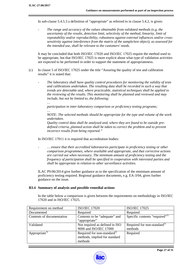*…* 

In sub-clause 5.4.5.3 a definition of "appropriate" as referred to in clause 5.4.2, is given:

The range and accuracy of the values obtainable from validated methods (e.g. the *uncertainty of the results, detection limit, selectivity of the method, linearity, limit of repeatability and/or reproducibility, robustness against external influences and/or crosssensitivity against interference from the matrix of the sample/test object), as assessed for the intended use, shall be relevant to the customers' needs.* 

It may be concluded that both ISO/IEC 17020 and ISO/IEC 17025 require the method used to be appropriate, but that ISO/IEC 17025 is more explicit about what type of validation activities are expected to be performed in order to support the statement of appropriateness.

- (c) In clause 5 of ISO/IEC 17025 under the title "Assuring the quality of test and calibration results" it is stated that:
	- *The laboratory shall have quality control procedures for monitoring the validity of tests and calibrations undertaken. The resulting data shall be recorded in such a way that trends are detectable and, where practicable, statistical techniques shall be applied to the reviewing of the results. This monitoring shall be planned and reviewed and may include, but not be limited to, the following:*

*participation in inter-laboratory comparison or proficiency testing programs;* 

*… NOTE: The selected methods should be appropriate for the type and volume of the work undertaken.* 

*Quality control data shall be analysed and, where they are found to be outside predefined criteria, planned action shall be taken to correct the problem and to prevent incorrect results from being reported."* 

In ISO/IEC 17011 it is required that accreditation bodies:

... ensure that their accredited laboratories participate in proficiency testing or other *comparison programmes, where available and appropriate, and that corrective actions are carried out when necessary. The minimum amount of proficiency testing and the frequency of participation shall be specified in cooperation with interested parties and shall be appropriate in relation to other surveillance activities.* 

ILAC P9:06/2014 give further guidance as to the specification of the minimum amount of proficiency testing required. Regional guidance documents, e.g. EA-3/04, gives further guidance on the issue.

#### **B3.4 Summary of analysis and possible remedial actions**

In the table below a comparison is given between the requirements on methodology in ISO/IEC 17020 and in ISO/IEC 17025.

| Requirement on method     | <b>ISO/IEC 17020</b>                    | <b>ISO/IEC 17025</b>                       |
|---------------------------|-----------------------------------------|--------------------------------------------|
| Documented                | Required                                | Required                                   |
| Contents of documentation | Contents to be "adequate" and           | Specific contents "required" <sup>1)</sup> |
|                           | "appropriate"                           |                                            |
| Validated                 | Not required as defined in ISO          | Required for non-standard <sup>2)</sup>    |
|                           | 9000 and ISO/IEC 17000                  | methods                                    |
| Appropriate <sup>3)</sup> | Required for non-standard <sup>2)</sup> | Required                                   |
|                           | methods, implied for standard           |                                            |
|                           | methods                                 |                                            |

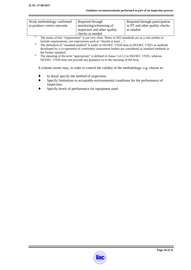| Work methodology confirmed | Required through             | Required through participation |
|----------------------------|------------------------------|--------------------------------|
| to produce correct outcome | monitoring/witnessing of     | in PT and other quality checks |
|                            | inspectors and other quality | as needed                      |
|                            | checks as needed             |                                |

- <sup>1)</sup> The status of this "requirement" is not very clear. Notes in ISO standards are as a rule neither to include requirements, nor expressions such as "should at least …".
- <sup>2)</sup> The definition of "standard method" is wider in ISO/IEC 17020 than in ISO/IEC 17025 as methods developed by a co-operation of conformity assessment bodies are considered as standard methods in the former standard.
- <sup>3)</sup> The meaning of the term "appropriate" is defined in clause 5.4.5.3 in ISO/IEC 17025, whereas ISO/IEC 17020 does not provide any guidance as to the meaning of the term.

A scheme owner may, in order to control the validity of the methodology, e.g. choose to:

- In detail specify the method of inspection;
- Specify limitations to acceptable environmental conditions for the performance of inspection;
- Specify levels of performance for equipment used.

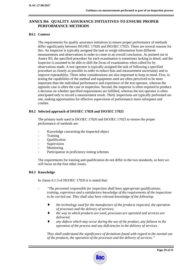# **ANNEX B4: QUALITY ASSURANCE INITIATIVES TO ENSURE PROPER PERFORMANCE METHODS**

## **B4.1 Context**

The requirements for quality assurance initiatives to ensure proper performance of methods differ significantly between ISO/IEC 17020 and ISO/IEC 17025. There are several reasons for this. An inspector is typically assigned the task to weigh information from different measurements and observations in order to come to an overall conclusion. As pointed out in Annex B3, the specified procedure for each examination is sometimes lacking in detail, and the inspector is assumed to be able to shift the focus of examination when called for by observations made. A test operator is typically assigned the task of following a specified procedure as closely as possible in order to reduce bias and measurement uncertainty and to improve repeatability. Three other considerations are also important to keep in mind. First, in testing the capabilities of the method and equipment used are often perceived to be more important than the individual performance and experience of the test operator, whereas the opposite case is often the case in inspection. Second, the inspector is often required to produce a decision on whether specified requirements are fulfilled, whereas the test operator is often anticipated only to record a measurement result. Third, inspections are typically performed onsite, making opportunities for effective supervision of performance more infrequent and costlier.

## **B4.2 Selected approach of ISO/IEC 17020 and ISO/IEC 17025**

The primary tools used in ISO/IEC 17020 and ISO/IEC 17025 to ensure the proper performance of methods are:

- Knowledge concerning the inspected object
- Training
- Qualification
- **Supervision**
- **Monitoring**
- Participation in proficiency testing schemes

The requirements for training and qualification do not differ in the two standards, so here we will focus on the four other issues.

# **B4.3 Knowledge**

In clause 6.1.3 of ISO/IEC 17020 it is stated that:

- *"The personnel responsible for inspection shall have appropriate qualifications, training, experience and a satisfactory knowledge of the requirements of the inspections to be carried out. They shall also have relevant knowledge of the following:* 
	- ♦ *the technology used for the manufacture of the products inspected, the operation of processes and the delivery of services;*
	- the way in which products are used, processes are operated and services are *delivered;*
	- any defects which may occur during the use of the product, any failures in the *operation of the process and any deficiencies in the delivery of services.*

*They shall understand the significance of deviations found with regard to the normal use of the products, the operation of the processes and the delivery of services."* 

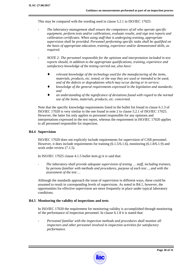This may be compared with the wording used in clause 5.2.1 in ISO/IEC 17025:

- The laboratory management shall ensure the competence of all who operate specific *equipment, perform tests and/or calibrations, evaluate results, and sign test reports and calibration certificates. When using staff that is undergoing training, appropriate supervision shall be provided. Personnel performing specific tasks shall be qualified on the basis of appropriate education, training, experience and/or demonstrated skills, as required.*
- *NOTE 2: The personnel responsible for the opinions and interpretation included in test reports should, in addition to the appropriate qualifications, training, experience and satisfactory knowledge of the testing carried out, also have:* 
	- relevant knowledge of the technology used for the manufacturing of the items, *materials, products, etc. tested, or the way they are used or intended to be used, and of the defects or degradations which may occur during or in service;*
	- knowledge of the general requirements expressed in the legislation and standards; *and*
	- an understanding of the significance of deviations found with regard to the normal *use of the items, materials, products, etc. concerned.*

Note that the specific knowledge requirements listed in the bullet list found in clause 6.1.3 of ISO/IEC 17020 is very similar to the one found in note 2 to clause 5.2.1 of ISO/IEC 17025. However, the latter list only applies to personnel responsible for any opinions and interpretations expressed in the test report, whereas the requirement in ISO/IEC 17020 applies to all personnel responsible for inspection.

#### **B4.4 Supervision**

ISO/IEC 17020 does not explicitly include requirements for supervision of CAB personnel. However, it does include requirements for training (6.1.5/6.1.6), monitoring (6.1.8/6.1.9) and work order review (7.1.5).

In ISO/IEC 17025 clause 4.1.5 bullet item g) it is said that:

- *The laboratory shall provide adequate supervision of testing … staff, including trainees, by persons familiar with methods and procedures, purpose of each test .., and with the assessment of the test …* 

Although the standards approach the issue of supervision in different ways, these could be assumed to result in corresponding levels of supervision. As noted in B4.1, however, the opportunities for effective supervision are more frequently in place under typical laboratory conditions.

# **B4.5 Monitoring the validity of inspections and tests**

In ISO/IEC 17020 the requirement for monitoring validity is accomplished through monitoring of the performance of inspection personnel. In clause 6.1.8 it is stated that:

Personnel familiar with the inspection methods and procedures shall monitor all *inspectors and other personnel involved in inspection activities for satisfactory performance.*